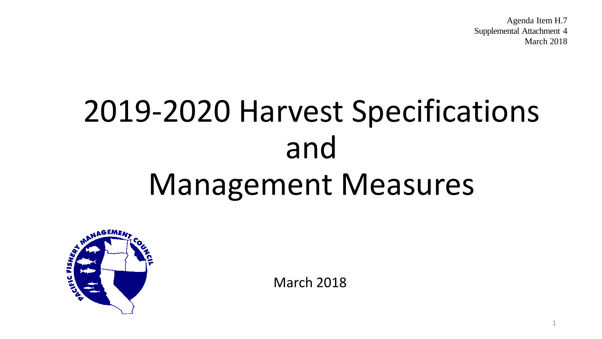Agenda Item H.7 Supplemental Attachment 4 March 2018

1

# 2019-2020 Harvest Specifications and Management Measures



March 2018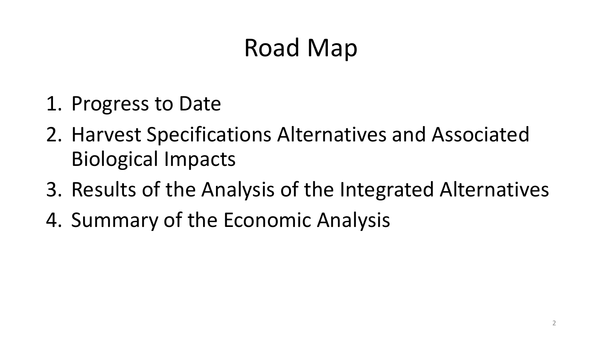#### Road Map

- 1. Progress to Date
- 2. Harvest Specifications Alternatives and Associated Biological Impacts
- 3. Results of the Analysis of the Integrated Alternatives
- 4. Summary of the Economic Analysis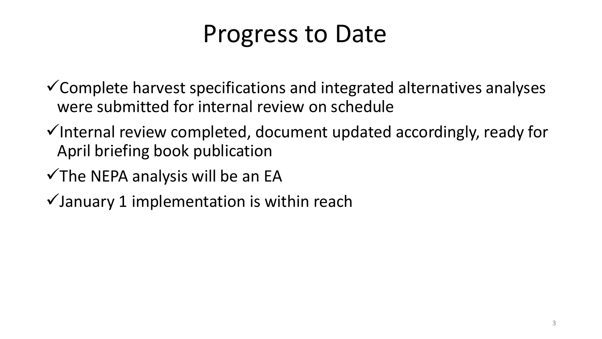#### Progress to Date

 $\checkmark$  Complete harvest specifications and integrated alternatives analyses were submitted for internal review on schedule

- $\checkmark$  Internal review completed, document updated accordingly, ready for April briefing book publication
- $\checkmark$  The NEPA analysis will be an EA
- $\checkmark$  January 1 implementation is within reach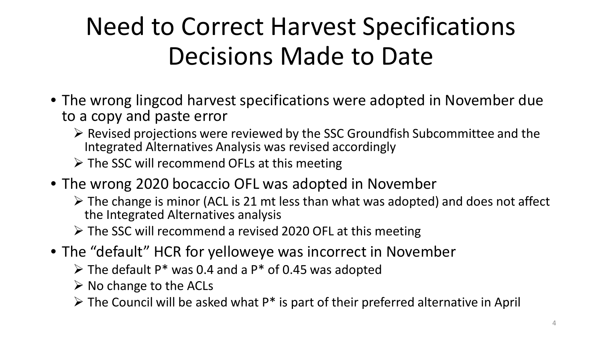### Need to Correct Harvest Specifications Decisions Made to Date

- The wrong lingcod harvest specifications were adopted in November due to a copy and paste error
	- $\triangleright$  Revised projections were reviewed by the SSC Groundfish Subcommittee and the Integrated Alternatives Analysis was revised accordingly
	- $\triangleright$  The SSC will recommend OFLs at this meeting
- The wrong 2020 bocaccio OFL was adopted in November
	- $\triangleright$  The change is minor (ACL is 21 mt less than what was adopted) and does not affect the Integrated Alternatives analysis
	- The SSC will recommend a revised 2020 OFL at this meeting
- The "default" HCR for yelloweye was incorrect in November
	- $\triangleright$  The default P\* was 0.4 and a P\* of 0.45 was adopted
	- $\triangleright$  No change to the ACLs
	- $\triangleright$  The Council will be asked what P<sup>\*</sup> is part of their preferred alternative in April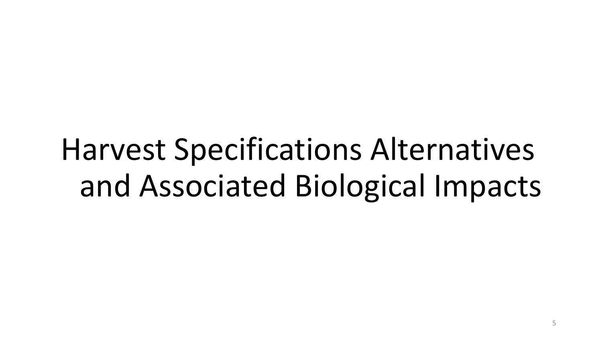## Harvest Specifications Alternatives and Associated Biological Impacts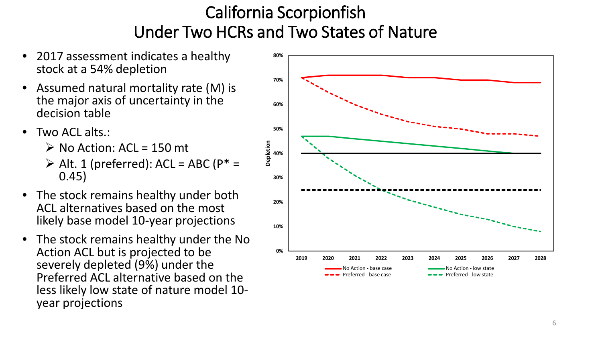#### California Scorpionfish Under Two HCRs and Two States of Nature

- 2017 assessment indicates a healthy stock at a 54% depletion
- Assumed natural mortality rate (M) is the major axis of uncertainty in the decision table
- Two ACL alts.:
	- $\triangleright$  No Action: ACL = 150 mt
	- $\triangleright$  Alt. 1 (preferred): ACL = ABC (P\* = 0.45)
- The stock remains healthy under both ACL alternatives based on the most likely base model 10-year projections
- The stock remains healthy under the No Action ACL but is projected to be severely depleted (9%) under the Preferred ACL alternative based on the less likely low state of nature model 10- year projections

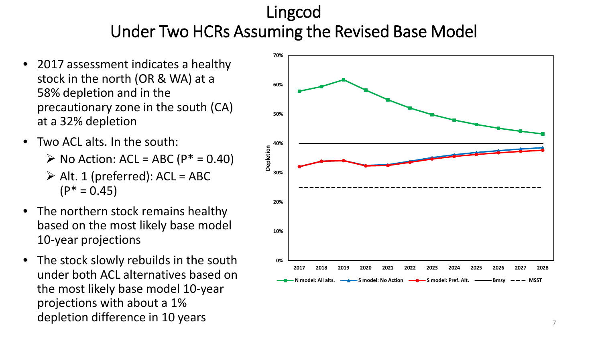#### Lingcod Under Two HCRs Assuming the Revised Base Model

- 2017 assessment indicates a healthy stock in the north (OR & WA) at a 58% depletion and in the precautionary zone in the south (CA) at a 32% depletion
- Two ACL alts. In the south:
	- $\triangleright$  No Action: ACL = ABC ( $P^* = 0.40$ )
	- $\triangleright$  Alt. 1 (preferred): ACL = ABC  $(P^* = 0.45)$
- The northern stock remains healthy based on the most likely base model 10-year projections
- The stock slowly rebuilds in the south under both ACL alternatives based on the most likely base model 10-year projections with about a 1% depletion difference in 10 years  $7<sup>7</sup>$

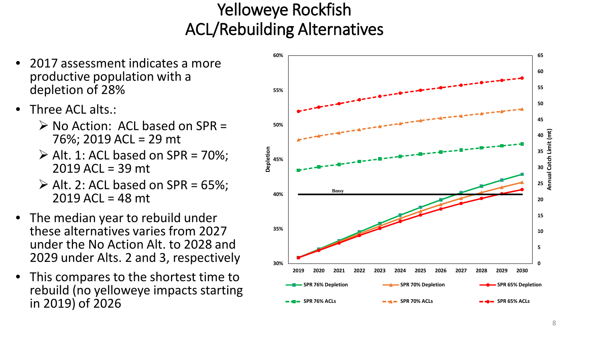#### Yelloweye Rockfish ACL/Rebuilding Alternatives

- 2017 assessment indicates a more productive population with a depletion of 28%
- Three ACL alts.:
	- $\triangleright$  No Action: ACL based on SPR = 76%; 2019 ACL = 29 mt
	- $\triangleright$  Alt. 1: ACL based on SPR = 70%; 2019 ACL = 39 mt
	- $\triangleright$  Alt. 2: ACL based on SPR = 65%;  $2019$  ACL = 48 mt
- The median year to rebuild under these alternatives varies from 2027 under the No Action Alt. to 2028 and 2029 under Alts. 2 and 3, respectively
- This compares to the shortest time to rebuild (no yelloweye impacts starting in 2019) of 2026

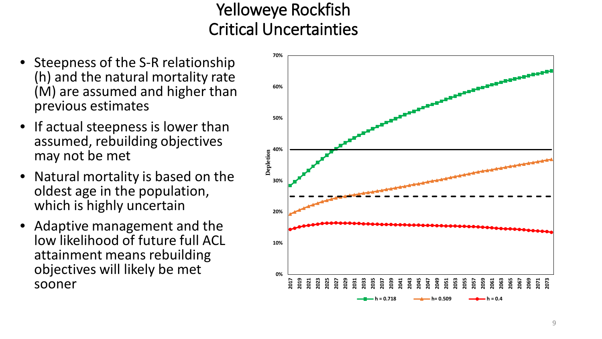#### Yelloweye Rockfish Critical Uncertainties

- Steepness of the S-R relationship (h) and the natural mortality rate (M) are assumed and higher than previous estimates
- If actual steepness is lower than assumed, rebuilding objectives may not be met
- Natural mortality is based on the oldest age in the population, which is highly uncertain
- Adaptive management and the low likelihood of future full ACL attainment means rebuilding objectives will likely be met sooner

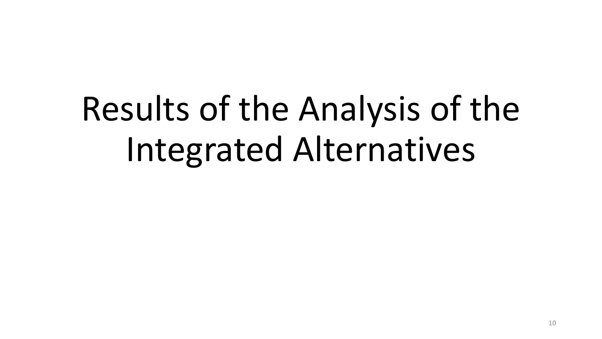# Results of the Analysis of the Integrated Alternatives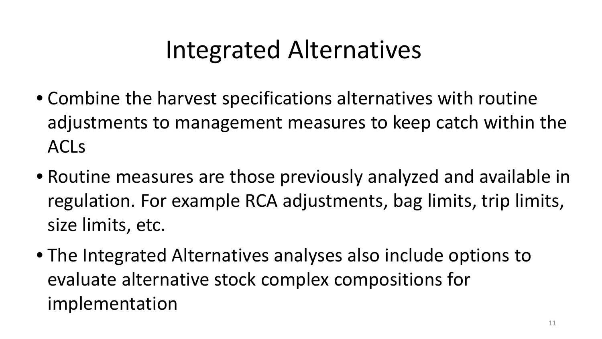#### Integrated Alternatives

- Combine the harvest specifications alternatives with routine adjustments to management measures to keep catch within the ACLs
- Routine measures are those previously analyzed and available in regulation. For example RCA adjustments, bag limits, trip limits, size limits, etc.
- The Integrated Alternatives analyses also include options to evaluate alternative stock complex compositions for implementation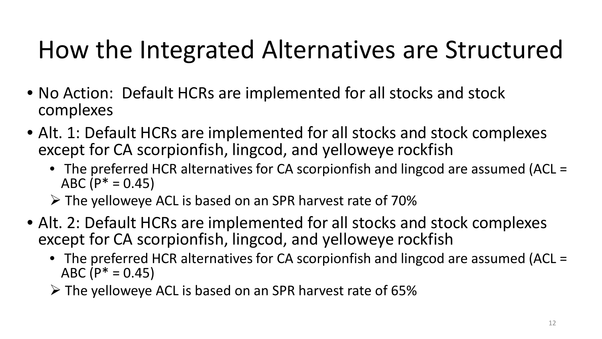#### How the Integrated Alternatives are Structured

- No Action: Default HCRs are implemented for all stocks and stock complexes
- Alt. 1: Default HCRs are implemented for all stocks and stock complexes except for CA scorpionfish, lingcod, and yelloweye rockfish
	- The preferred HCR alternatives for CA scorpionfish and lingcod are assumed (ACL = ABC ( $P^* = 0.45$ )
	- $\triangleright$  The yelloweye ACL is based on an SPR harvest rate of 70%
- Alt. 2: Default HCRs are implemented for all stocks and stock complexes except for CA scorpionfish, lingcod, and yelloweye rockfish
	- The preferred HCR alternatives for CA scorpionfish and lingcod are assumed (ACL = ABC ( $P^* = 0.45$ )
	- $\triangleright$  The yelloweye ACL is based on an SPR harvest rate of 65%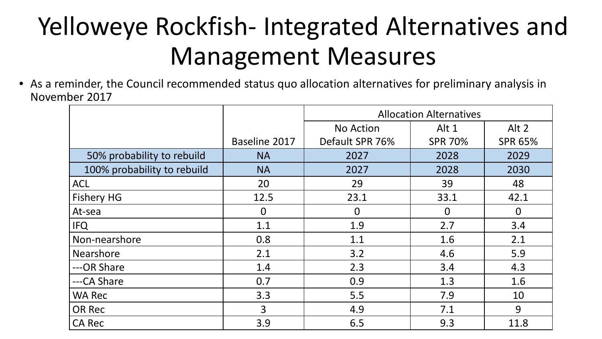### Yelloweye Rockfish- Integrated Alternatives and Management Measures

• As a reminder, the Council recommended status quo allocation alternatives for preliminary analysis in November 2017

|                             |               | <b>Allocation Alternatives</b> |                |                |  |  |
|-----------------------------|---------------|--------------------------------|----------------|----------------|--|--|
|                             |               | No Action                      | Alt 1          | Alt 2          |  |  |
|                             | Baseline 2017 | Default SPR 76%                | <b>SPR 70%</b> | <b>SPR 65%</b> |  |  |
| 50% probability to rebuild  | <b>NA</b>     | 2027                           | 2028           | 2029           |  |  |
| 100% probability to rebuild | <b>NA</b>     | 2027                           | 2028           | 2030           |  |  |
| <b>ACL</b>                  | 20            | 29                             | 39             | 48             |  |  |
| Fishery HG                  | 12.5          | 23.1                           | 33.1           | 42.1           |  |  |
| At-sea                      | $\mathbf 0$   | $\overline{0}$                 | $\overline{0}$ | $\Omega$       |  |  |
| <b>IFQ</b>                  | 1.1           | 1.9                            | 2.7            | 3.4            |  |  |
| Non-nearshore               | 0.8           | 1.1                            | 1.6            | 2.1            |  |  |
| <b>Nearshore</b>            | 2.1           | 3.2                            | 4.6            | 5.9            |  |  |
| ---OR Share                 | 1.4           | 2.3                            | 3.4            | 4.3            |  |  |
| ---CA Share                 | 0.7           | 0.9                            | 1.3            | 1.6            |  |  |
| <b>WA Rec</b>               | 3.3           | 5.5                            | 7.9            | 10             |  |  |
| <b>OR Rec</b>               | 3             | 4.9                            | 7.1            | 9              |  |  |
| <b>CA Rec</b>               | 3.9           | 6.5                            | 9.3            | 11.8           |  |  |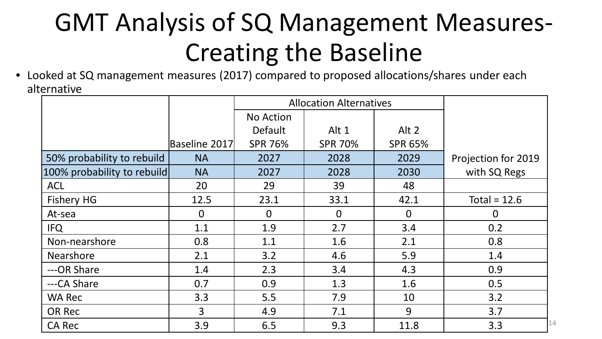### GMT Analysis of SQ Management Measures-Creating the Baseline

• Looked at SQ management measures (2017) compared to proposed allocations/shares under each alternative

|                             |                | <b>Allocation Alternatives</b> |                |                |                     |    |
|-----------------------------|----------------|--------------------------------|----------------|----------------|---------------------|----|
|                             |                | No Action                      |                |                |                     |    |
|                             |                | <b>Default</b>                 | Alt 1          | Alt 2          |                     |    |
|                             | Baseline 2017  | <b>SPR 76%</b>                 | <b>SPR 70%</b> | <b>SPR 65%</b> |                     |    |
| 50% probability to rebuild  | <b>NA</b>      | 2027                           | 2028           | 2029           | Projection for 2019 |    |
| 100% probability to rebuild | <b>NA</b>      | 2027                           | 2028           | 2030           | with SQ Regs        |    |
| <b>ACL</b>                  | 20             | 29                             | 39             | 48             |                     |    |
| Fishery HG                  | 12.5           | 23.1                           | 33.1           | 42.1           | Total = $12.6$      |    |
| At-sea                      | $\Omega$       | $\Omega$                       | $\Omega$       | $\Omega$       | $\overline{0}$      |    |
| <b>IFQ</b>                  | 1.1            | 1.9                            | 2.7            | 3.4            | 0.2                 |    |
| Non-nearshore               | 0.8            | 1.1                            | 1.6            | 2.1            | 0.8                 |    |
| <b>Nearshore</b>            | 2.1            | 3.2                            | 4.6            | 5.9            | 1.4                 |    |
| ---OR Share                 | 1.4            | 2.3                            | 3.4            | 4.3            | 0.9                 |    |
| ---CA Share                 | 0.7            | 0.9                            | 1.3            | 1.6            | 0.5                 |    |
| <b>WA Rec</b>               | 3.3            | 5.5                            | 7.9            | 10             | 3.2                 |    |
| OR Rec                      | $\overline{3}$ | 4.9                            | 7.1            | 9              | 3.7                 |    |
| <b>CA Rec</b>               | 3.9            | 6.5                            | 9.3            | 11.8           | 3.3                 | 14 |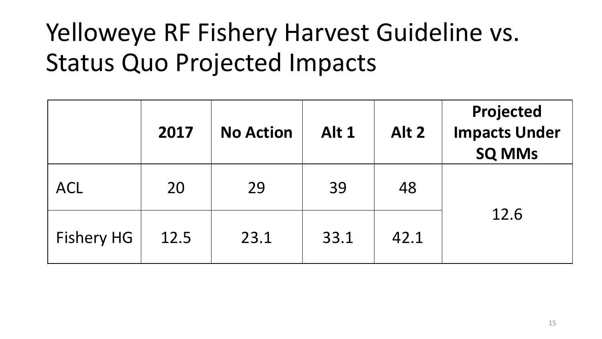### Yelloweye RF Fishery Harvest Guideline vs. Status Quo Projected Impacts

|                   | 2017 | <b>No Action</b> | Alt 1 | Alt 2 | Projected<br><b>Impacts Under</b><br><b>SQ MMs</b> |
|-------------------|------|------------------|-------|-------|----------------------------------------------------|
| <b>ACL</b>        | 20   | 29               | 39    | 48    |                                                    |
| <b>Fishery HG</b> | 12.5 | 23.1             | 33.1  | 42.1  | 12.6                                               |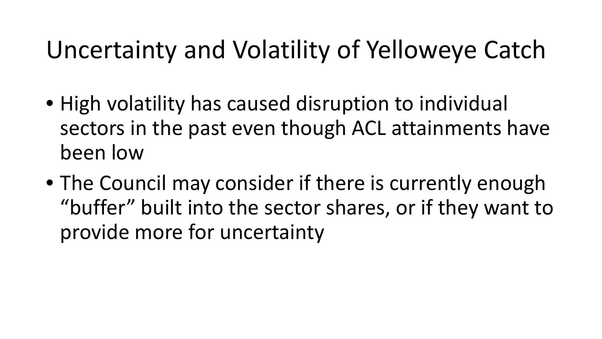#### Uncertainty and Volatility of Yelloweye Catch

- High volatility has caused disruption to individual sectors in the past even though ACL attainments have been low
- The Council may consider if there is currently enough "buffer" built into the sector shares, or if they want to provide more for uncertainty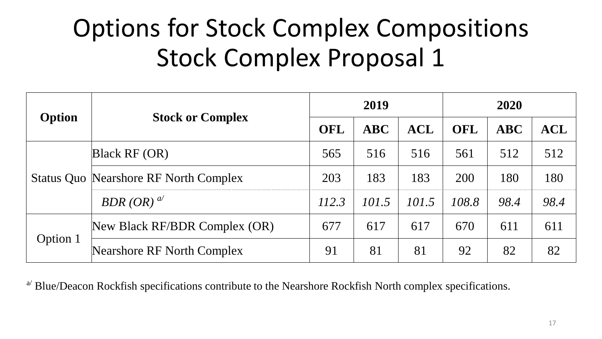### Options for Stock Complex Compositions Stock Complex Proposal 1

|          |                                              | 2019  |       |            | 2020  |           |                |
|----------|----------------------------------------------|-------|-------|------------|-------|-----------|----------------|
| Option   | <b>Stock or Complex</b>                      | OFL   | ABC   | <b>ACL</b> | OFL   | $\bf ABC$ | $\mathbf{ACL}$ |
|          | Black RF(OR)                                 | 565   | 516   | 516        | 561   | 512       | 512            |
|          | <b>Status Quo Nearshore RF North Complex</b> | 203   | 183   | 183        | 200   | 180       | 180            |
|          | $BDR(OR)^{a'}$                               | 112.3 | 101.5 | 101.5      | 108.8 | 98.4      | 98.4           |
|          | New Black RF/BDR Complex (OR)                | 677   | 617   | 617        | 670   | 611       | 611            |
| Option 1 | Nearshore RF North Complex                   | 91    | 81    | 81         | 92    | 82        | 82             |

 $a<sup>2</sup>$  Blue/Deacon Rockfish specifications contribute to the Nearshore Rockfish North complex specifications.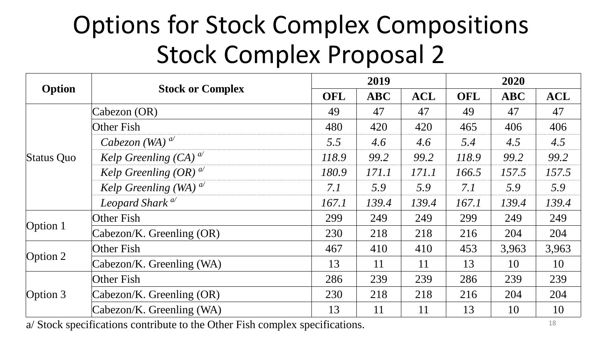#### Options for Stock Complex Compositions Stock Complex Proposal 2

|                                    |                             | 2019                                                                                                                                                                                                                                                                                                                                                                                         |            |            | 2020       |                                                                                                            |            |
|------------------------------------|-----------------------------|----------------------------------------------------------------------------------------------------------------------------------------------------------------------------------------------------------------------------------------------------------------------------------------------------------------------------------------------------------------------------------------------|------------|------------|------------|------------------------------------------------------------------------------------------------------------|------------|
| Option                             | <b>Stock or Complex</b>     | <b>OFL</b>                                                                                                                                                                                                                                                                                                                                                                                   | <b>ABC</b> | <b>ACL</b> | <b>OFL</b> | <b>ABC</b><br>47<br>406<br>4.5<br>99.2<br>157.5<br>5.9<br>139.4<br>249<br>204<br>3,963<br>10<br>239<br>204 | <b>ACL</b> |
|                                    | $\text{Cabezon}(\text{OR})$ | 49                                                                                                                                                                                                                                                                                                                                                                                           | 47         | 47         | 49         |                                                                                                            | 47         |
|                                    | Other Fish                  | 480<br>420<br>420<br>465<br>5.5<br>5.4<br>4.6<br>4.6<br>118.9<br>99.2<br>99.2<br>118.9<br>180.9<br>171.1<br>171.1<br>166.5<br>7.1<br>5.9<br>5.9<br>7.1<br>139.4<br>139.4<br>167.1<br>167.1<br>299<br>249<br>249<br>299<br>218<br>218<br>230<br>216<br>467<br>410<br>410<br>453<br>13<br>13<br>11<br>11<br>286<br>239<br>239<br>286<br>230<br>218<br>218<br>216<br>13<br>13<br>11<br>11<br>10 | 406        |            |            |                                                                                                            |            |
|                                    | Cabezon (WA) $^{a'}$        |                                                                                                                                                                                                                                                                                                                                                                                              |            |            |            |                                                                                                            | 4.5        |
| Status Quo                         | Kelp Greenling $(CA)^{a'}$  |                                                                                                                                                                                                                                                                                                                                                                                              |            |            |            |                                                                                                            | 99.2       |
|                                    | Kelp Greenling $(OR)^{a}$   |                                                                                                                                                                                                                                                                                                                                                                                              |            |            |            |                                                                                                            | 157.5      |
|                                    | Kelp Greenling (WA) $^{a'}$ |                                                                                                                                                                                                                                                                                                                                                                                              |            |            |            |                                                                                                            | 5.9        |
|                                    | Leopard Shark <sup>a/</sup> |                                                                                                                                                                                                                                                                                                                                                                                              |            |            |            |                                                                                                            | 139.4      |
|                                    | Other Fish                  |                                                                                                                                                                                                                                                                                                                                                                                              |            |            |            |                                                                                                            | 249        |
|                                    | Cabezon/K. Greenling (OR)   |                                                                                                                                                                                                                                                                                                                                                                                              |            |            |            |                                                                                                            | 204        |
|                                    | Other Fish                  |                                                                                                                                                                                                                                                                                                                                                                                              |            |            |            |                                                                                                            | 3,963      |
|                                    | Cabezon/K. Greenling (WA)   |                                                                                                                                                                                                                                                                                                                                                                                              |            |            |            |                                                                                                            | 10         |
| Option 1<br>Option $2$<br>Option 3 | Other Fish                  |                                                                                                                                                                                                                                                                                                                                                                                              |            |            |            |                                                                                                            | 239        |
|                                    | Cabezon/K. Greenling (OR)   |                                                                                                                                                                                                                                                                                                                                                                                              |            |            |            |                                                                                                            | 204        |
|                                    | Cabezon/K. Greenling (WA)   |                                                                                                                                                                                                                                                                                                                                                                                              |            |            |            |                                                                                                            | 10         |

a/ Stock specifications contribute to the Other Fish complex specifications.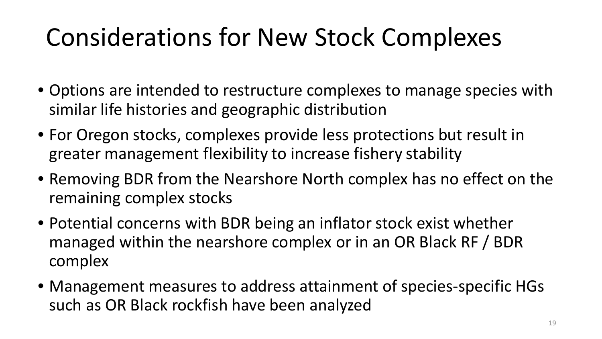### Considerations for New Stock Complexes

- Options are intended to restructure complexes to manage species with similar life histories and geographic distribution
- For Oregon stocks, complexes provide less protections but result in greater management flexibility to increase fishery stability
- Removing BDR from the Nearshore North complex has no effect on the remaining complex stocks
- Potential concerns with BDR being an inflator stock exist whether managed within the nearshore complex or in an OR Black RF / BDR complex
- Management measures to address attainment of species-specific HGs such as OR Black rockfish have been analyzed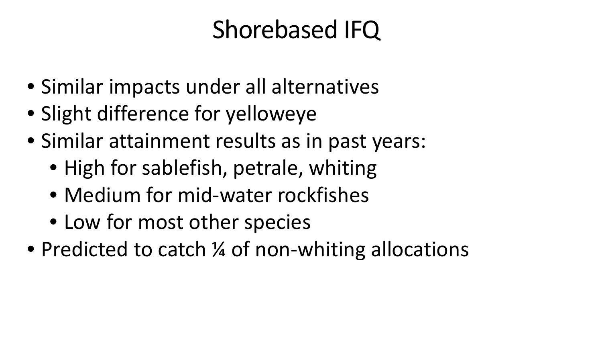#### Shorebased IFQ

- Similar impacts under all alternatives
- Slight difference for yelloweye
- Similar attainment results as in past years:
	- High for sablefish, petrale, whiting
	- Medium for mid-water rockfishes
	- Low for most other species
- Predicted to catch % of non-whiting allocations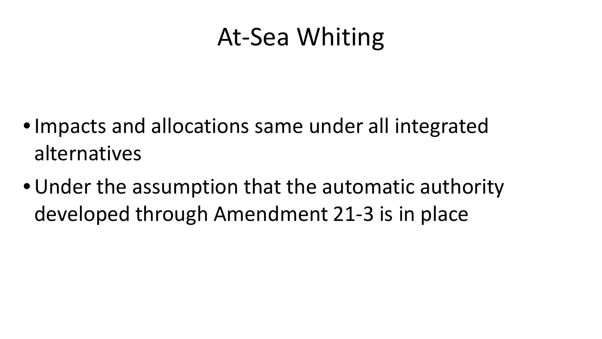#### At-Sea Whiting

- •Impacts and allocations same under all integrated alternatives
- •Under the assumption that the automatic authority developed through Amendment 21-3 is in place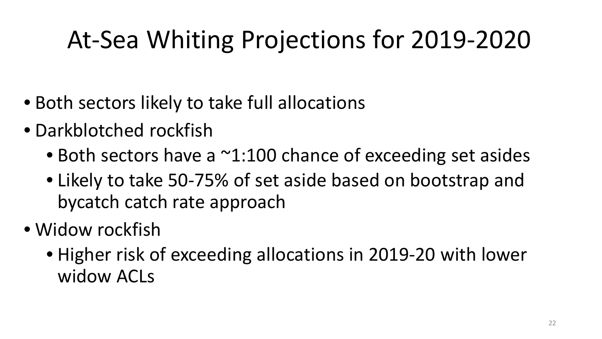## At-Sea Whiting Projections for 2019-2020

- Both sectors likely to take full allocations
- Darkblotched rockfish
	- Both sectors have a  $\sim$ 1:100 chance of exceeding set asides
	- Likely to take 50-75% of set aside based on bootstrap and bycatch catch rate approach
- Widow rockfish
	- Higher risk of exceeding allocations in 2019-20 with lower widow ACLs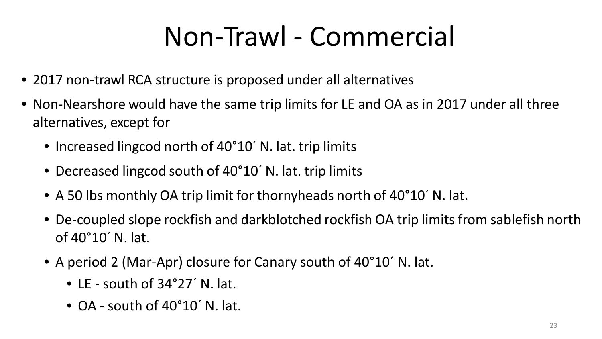## Non-Trawl - Commercial

- 2017 non-trawl RCA structure is proposed under all alternatives
- Non-Nearshore would have the same trip limits for LE and OA as in 2017 under all three alternatives, except for
	- Increased lingcod north of 40°10<sup>'</sup> N. lat. trip limits
	- Decreased lingcod south of 40°10<sup>'</sup> N. lat. trip limits
	- A 50 lbs monthly OA trip limit for thornyheads north of 40°10´ N. lat.
	- De-coupled slope rockfish and darkblotched rockfish OA trip limits from sablefish north of 40°10´ N. lat.
	- A period 2 (Mar-Apr) closure for Canary south of 40°10´ N. lat.
		- LE south of 34°27´ N. lat.
		- OA south of 40°10' N. lat.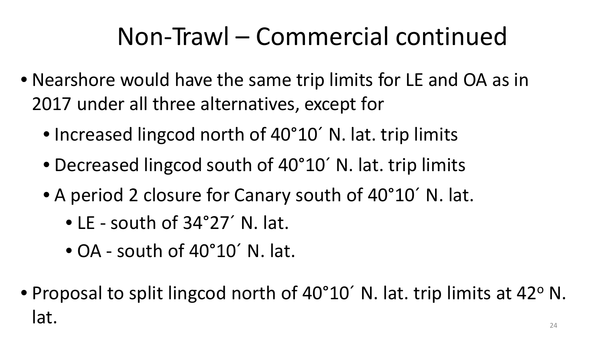### Non-Trawl – Commercial continued

- Nearshore would have the same trip limits for LE and OA as in 2017 under all three alternatives, except for
	- Increased lingcod north of 40°10<sup>'</sup> N. lat. trip limits
	- Decreased lingcod south of 40°10<sup>'</sup> N. lat. trip limits
	- A period 2 closure for Canary south of 40°10´ N. lat.
		- LE south of 34°27´ N. lat.
		- OA south of 40°10´ N. lat.
- Proposal to split lingcod north of 40°10<sup>'</sup> N. lat. trip limits at 42° N. lat.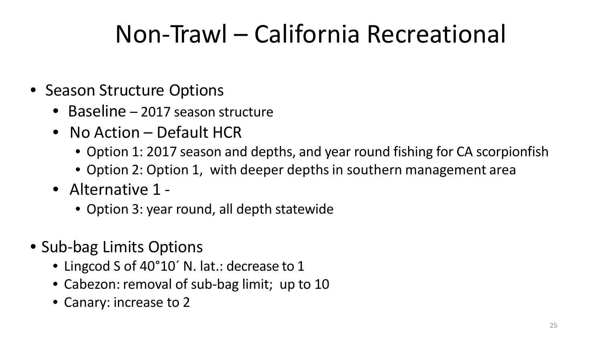### Non-Trawl – California Recreational

- Season Structure Options
	- Baseline 2017 season structure
	- No Action Default HCR
		- Option 1: 2017 season and depths, and year round fishing for CA scorpionfish
		- Option 2: Option 1, with deeper depths in southern management area
	- Alternative 1
		- Option 3: year round, all depth statewide
- Sub-bag Limits Options
	- Lingcod S of 40°10<sup>'</sup> N. lat.: decrease to 1
	- Cabezon: removal of sub-bag limit; up to 10
	- Canary: increase to 2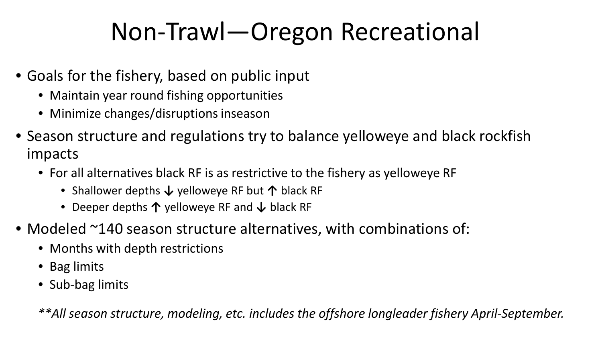#### Non-Trawl—Oregon Recreational

- Goals for the fishery, based on public input
	- Maintain year round fishing opportunities
	- Minimize changes/disruptions inseason
- Season structure and regulations try to balance yelloweye and black rockfish impacts
	- For all alternatives black RF is as restrictive to the fishery as yelloweye RF
		- Shallower depths **↓** yelloweye RF but **↑** black RF
		- Deeper depths **↑** yelloweye RF and **↓** black RF
- Modeled ~140 season structure alternatives, with combinations of:
	- Months with depth restrictions
	- Bag limits
	- Sub-bag limits

*\*\*All season structure, modeling, etc. includes the offshore longleader fishery April-September.*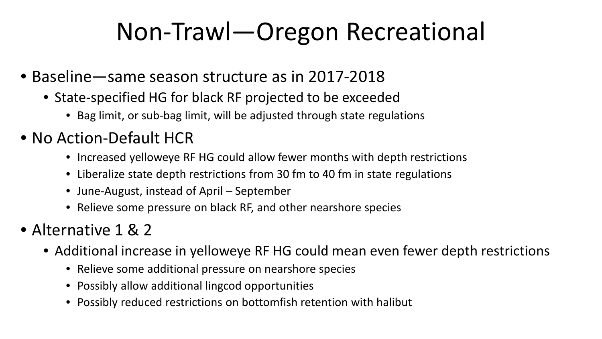#### Non-Trawl—Oregon Recreational

- Baseline—same season structure as in 2017-2018
	- State-specified HG for black RF projected to be exceeded
		- Bag limit, or sub-bag limit, will be adjusted through state regulations
- No Action-Default HCR
	- Increased yelloweye RF HG could allow fewer months with depth restrictions
	- Liberalize state depth restrictions from 30 fm to 40 fm in state regulations
	- June-August, instead of April September
	- Relieve some pressure on black RF, and other nearshore species
- Alternative 1 & 2
	- Additional increase in yelloweye RF HG could mean even fewer depth restrictions
		- Relieve some additional pressure on nearshore species
		- Possibly allow additional lingcod opportunities
		- Possibly reduced restrictions on bottomfish retention with halibut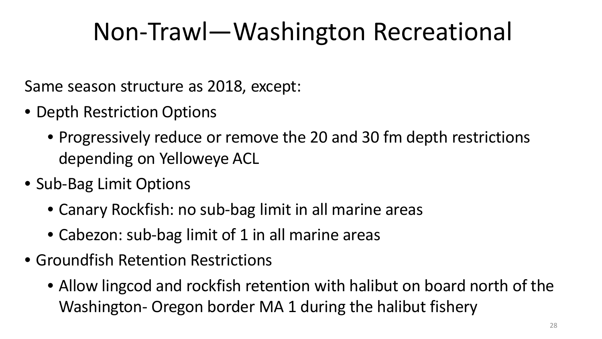#### Non-Trawl—Washington Recreational

Same season structure as 2018, except:

- Depth Restriction Options
	- Progressively reduce or remove the 20 and 30 fm depth restrictions depending on Yelloweye ACL
- Sub-Bag Limit Options
	- Canary Rockfish: no sub-bag limit in all marine areas
	- Cabezon: sub-bag limit of 1 in all marine areas
- Groundfish Retention Restrictions
	- Allow lingcod and rockfish retention with halibut on board north of the Washington- Oregon border MA 1 during the halibut fishery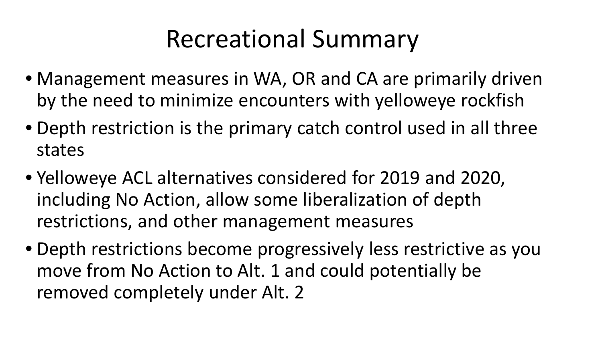#### Recreational Summary

- Management measures in WA, OR and CA are primarily driven by the need to minimize encounters with yelloweye rockfish
- Depth restriction is the primary catch control used in all three states
- Yelloweye ACL alternatives considered for 2019 and 2020, including No Action, allow some liberalization of depth restrictions, and other management measures
- Depth restrictions become progressively less restrictive as you move from No Action to Alt. 1 and could potentially be removed completely under Alt. 2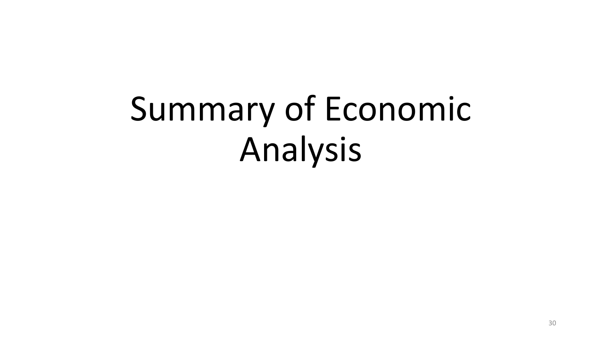# Summary of Economic Analysis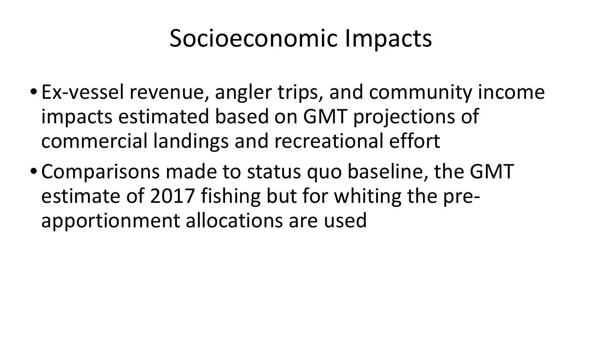#### Socioeconomic Impacts

- Ex-vessel revenue, angler trips, and community income impacts estimated based on GMT projections of commercial landings and recreational effort
- Comparisons made to status quo baseline, the GMT estimate of 2017 fishing but for whiting the preapportionment allocations are used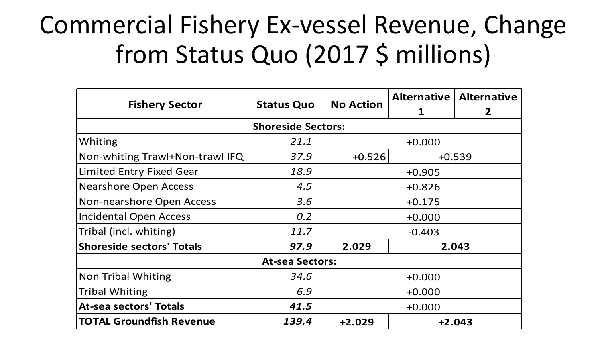#### Commercial Fishery Ex-vessel Revenue, Change from Status Quo (2017 \$ millions)

|                                  |                        |                      | Alternative | <b>Alternative</b> |  |
|----------------------------------|------------------------|----------------------|-------------|--------------------|--|
| <b>Fishery Sector</b>            | <b>Status Quo</b>      | <b>No Action</b>     |             | $\mathbf{z}$       |  |
| <b>Shoreside Sectors:</b>        |                        |                      |             |                    |  |
| Whiting                          | 21.1                   | $+0.000$             |             |                    |  |
| Non-whiting Trawl+Non-trawl IFQ  | 37.9                   | $+0.526$<br>$+0.539$ |             |                    |  |
| <b>Limited Entry Fixed Gear</b>  | 18.9                   | $+0.905$             |             |                    |  |
| <b>Nearshore Open Access</b>     | 4.5                    | $+0.826$             |             |                    |  |
| Non-nearshore Open Access        | 3.6                    | $+0.175$             |             |                    |  |
| <b>Incidental Open Access</b>    | 0.2                    | $+0.000$             |             |                    |  |
| Tribal (incl. whiting)           | 11.7                   | $-0.403$             |             |                    |  |
| <b>Shoreside sectors' Totals</b> | 97.9                   | 2.029<br>2.043       |             |                    |  |
|                                  | <b>At-sea Sectors:</b> |                      |             |                    |  |
| Non Tribal Whiting               | 34.6                   | $+0.000$             |             |                    |  |
| <b>Tribal Whiting</b>            | 6.9                    | $+0.000$             |             |                    |  |
| <b>At-sea sectors' Totals</b>    | 41.5                   | $+0.000$             |             |                    |  |
| <b>TOTAL Groundfish Revenue</b>  | 139.4                  | $+2.029$<br>$+2.043$ |             |                    |  |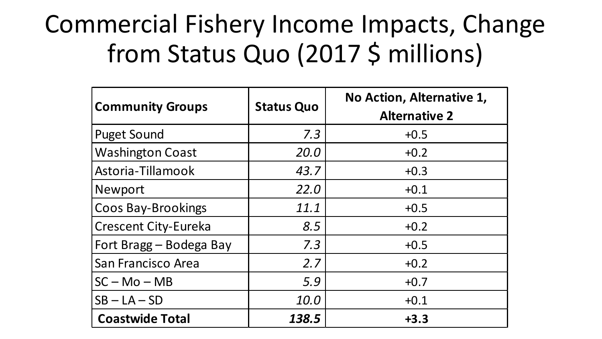#### Commercial Fishery Income Impacts, Change from Status Quo (2017 \$ millions)

| <b>Community Groups</b>     | <b>Status Quo</b> | No Action, Alternative 1,<br><b>Alternative 2</b> |
|-----------------------------|-------------------|---------------------------------------------------|
| <b>Puget Sound</b>          | 7.3               | $+0.5$                                            |
| <b>Washington Coast</b>     | 20.0              | $+0.2$                                            |
| Astoria-Tillamook           | 43.7              | $+0.3$                                            |
| Newport                     | 22.0              | $+0.1$                                            |
| <b>Coos Bay-Brookings</b>   | 11.1              | $+0.5$                                            |
| <b>Crescent City-Eureka</b> | 8.5               | $+0.2$                                            |
| Fort Bragg – Bodega Bay     | 7.3               | $+0.5$                                            |
| San Francisco Area          | 2.7               | $+0.2$                                            |
| $SC - Mo - MB$              | 5.9               | $+0.7$                                            |
| $SB - LA - SD$              | 10.0              | $+0.1$                                            |
| <b>Coastwide Total</b>      | 138.5             | $+3.3$                                            |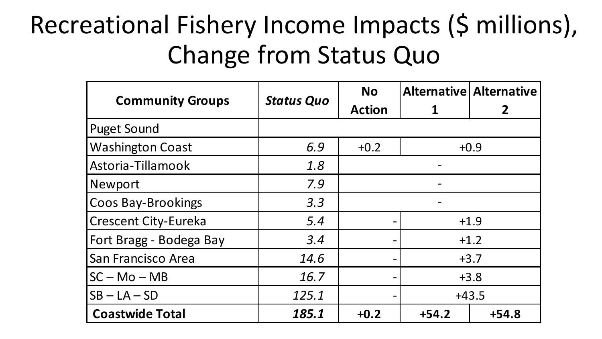#### Recreational Fishery Income Impacts (\$ millions), Change from Status Quo

|                                |                                    | <b>No</b>                    |        | <b>Alternative Alternative</b> |  |
|--------------------------------|------------------------------------|------------------------------|--------|--------------------------------|--|
| <b>Community Groups</b>        | <b>Status Quo</b><br><b>Action</b> |                              |        |                                |  |
| <b>Puget Sound</b>             |                                    |                              |        |                                |  |
| <b>Washington Coast</b>        | 6.9                                | $+0.2$                       | $+0.9$ |                                |  |
| Astoria-Tillamook              | 1.8                                |                              |        |                                |  |
| Newport                        | 7.9                                |                              |        |                                |  |
| <b>Coos Bay-Brookings</b>      | 3.3                                |                              |        |                                |  |
| <b>Crescent City-Eureka</b>    | 5.4                                | $+1.9$                       |        |                                |  |
| <b>Fort Bragg - Bodega Bay</b> | 3.4                                | $\qquad \qquad$              | $+1.2$ |                                |  |
| San Francisco Area             | 14.6                               |                              | $+3.7$ |                                |  |
| $ SC - Mo - MB $               | 16.7                               | $+3.8$                       |        |                                |  |
| $ SB - LA - SD$                | 125.1                              | $+43.5$                      |        |                                |  |
| <b>Coastwide Total</b>         | 185.1                              | $+54.2$<br>$+0.2$<br>$+54.8$ |        |                                |  |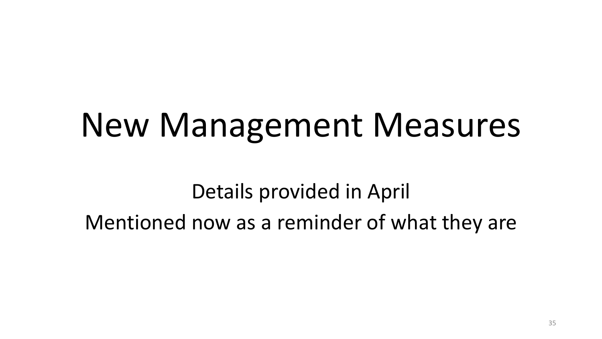# New Management Measures

Details provided in April Mentioned now as a reminder of what they are